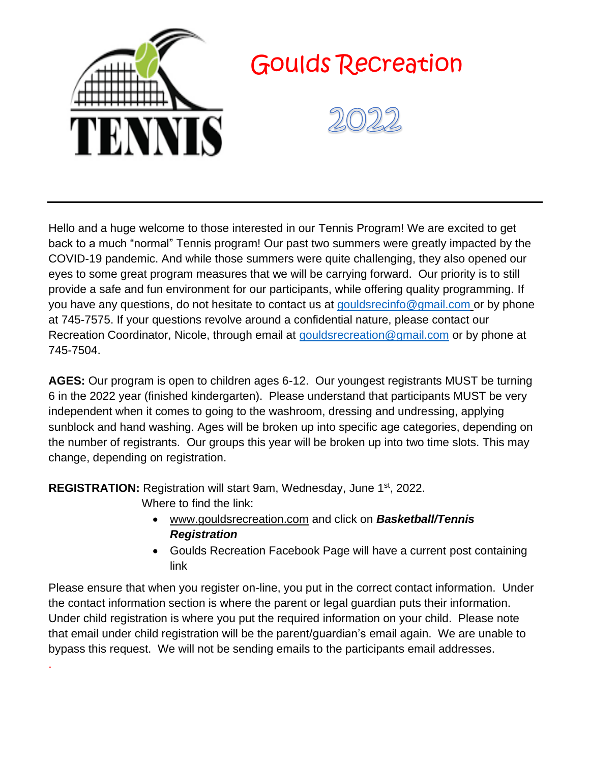

Hello and a huge welcome to those interested in our Tennis Program! We are excited to get back to a much "normal" Tennis program! Our past two summers were greatly impacted by the COVID-19 pandemic. And while those summers were quite challenging, they also opened our eyes to some great program measures that we will be carrying forward. Our priority is to still provide a safe and fun environment for our participants, while offering quality programming. If you have any questions, do not hesitate to contact us at [gouldsrecinfo@gmail.com](mailto:gouldsrecinfo@gmail.com) or by phone at 745-7575. If your questions revolve around a confidential nature, please contact our Recreation Coordinator, Nicole, through email at [gouldsrecreation@gmail.com](mailto:gouldsrecreation@gmail.com) or by phone at 745-7504.

**AGES:** Our program is open to children ages 6-12. Our youngest registrants MUST be turning 6 in the 2022 year (finished kindergarten). Please understand that participants MUST be very independent when it comes to going to the washroom, dressing and undressing, applying sunblock and hand washing. Ages will be broken up into specific age categories, depending on the number of registrants. Our groups this year will be broken up into two time slots. This may change, depending on registration.

**REGISTRATION:** Registration will start 9am, Wednesday, June 1st, 2022.

Where to find the link:

.

- [www.gouldsrecreation.com](http://www.gouldsrecreation.com/) and click on *Basketball/Tennis Registration*
- Goulds Recreation Facebook Page will have a current post containing link

Please ensure that when you register on-line, you put in the correct contact information. Under the contact information section is where the parent or legal guardian puts their information. Under child registration is where you put the required information on your child. Please note that email under child registration will be the parent/guardian's email again. We are unable to bypass this request. We will not be sending emails to the participants email addresses.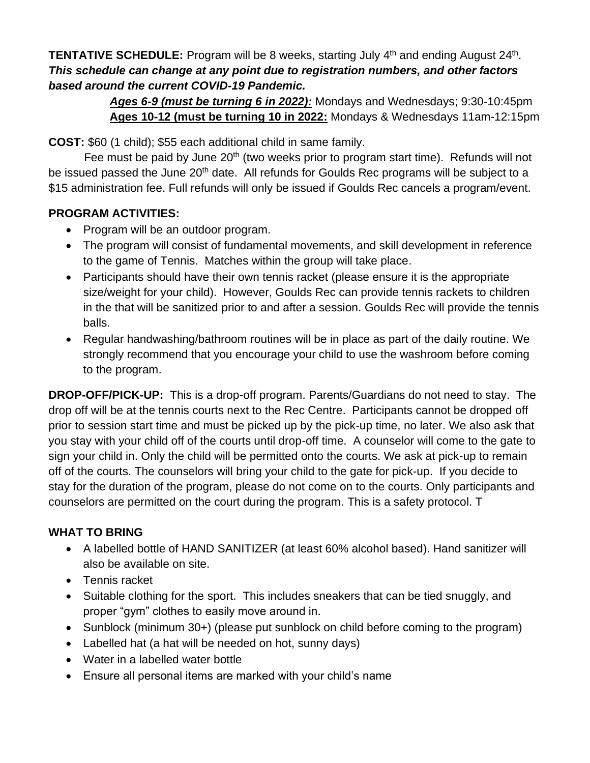**TENTATIVE SCHEDULE:** Program will be 8 weeks, starting July 4<sup>th</sup> and ending August 24<sup>th</sup>. *This schedule can change at any point due to registration numbers, and other factors based around the current COVID-19 Pandemic.* 

> *Ages 6-9 (must be turning 6 in 2022):* Mondays and Wednesdays; 9:30-10:45pm **Ages 10-12 (must be turning 10 in 2022:** Mondays & Wednesdays 11am-12:15pm

**COST:** \$60 (1 child); \$55 each additional child in same family.

Fee must be paid by June 20<sup>th</sup> (two weeks prior to program start time). Refunds will not be issued passed the June 20<sup>th</sup> date. All refunds for Goulds Rec programs will be subject to a \$15 administration fee. Full refunds will only be issued if Goulds Rec cancels a program/event.

## **PROGRAM ACTIVITIES:**

- Program will be an outdoor program.
- The program will consist of fundamental movements, and skill development in reference to the game of Tennis. Matches within the group will take place.
- Participants should have their own tennis racket (please ensure it is the appropriate size/weight for your child). However, Goulds Rec can provide tennis rackets to children in the that will be sanitized prior to and after a session. Goulds Rec will provide the tennis balls.
- Regular handwashing/bathroom routines will be in place as part of the daily routine. We strongly recommend that you encourage your child to use the washroom before coming to the program.

**DROP-OFF/PICK-UP:** This is a drop-off program. Parents/Guardians do not need to stay. The drop off will be at the tennis courts next to the Rec Centre. Participants cannot be dropped off prior to session start time and must be picked up by the pick-up time, no later. We also ask that you stay with your child off of the courts until drop-off time. A counselor will come to the gate to sign your child in. Only the child will be permitted onto the courts. We ask at pick-up to remain off of the courts. The counselors will bring your child to the gate for pick-up. If you decide to stay for the duration of the program, please do not come on to the courts. Only participants and counselors are permitted on the court during the program. This is a safety protocol. T

## **WHAT TO BRING**

- A labelled bottle of HAND SANITIZER (at least 60% alcohol based). Hand sanitizer will also be available on site.
- Tennis racket
- Suitable clothing for the sport. This includes sneakers that can be tied snuggly, and proper "gym" clothes to easily move around in.
- Sunblock (minimum 30+) (please put sunblock on child before coming to the program)
- Labelled hat (a hat will be needed on hot, sunny days)
- Water in a labelled water bottle
- Ensure all personal items are marked with your child's name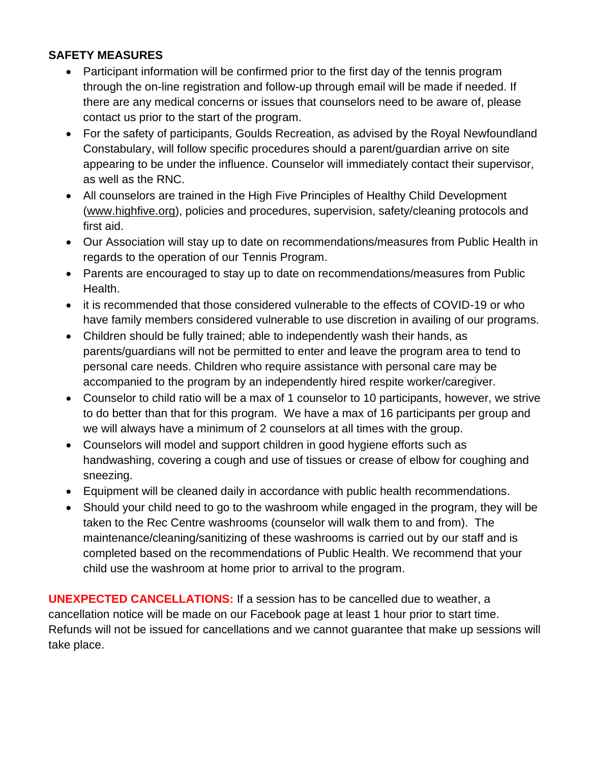## **SAFETY MEASURES**

- Participant information will be confirmed prior to the first day of the tennis program through the on-line registration and follow-up through email will be made if needed. If there are any medical concerns or issues that counselors need to be aware of, please contact us prior to the start of the program.
- For the safety of participants, Goulds Recreation, as advised by the Royal Newfoundland Constabulary, will follow specific procedures should a parent/guardian arrive on site appearing to be under the influence. Counselor will immediately contact their supervisor, as well as the RNC.
- All counselors are trained in the High Five Principles of Healthy Child Development [\(www.highfive.org\)](http://www.highfive.org/), policies and procedures, supervision, safety/cleaning protocols and first aid.
- Our Association will stay up to date on recommendations/measures from Public Health in regards to the operation of our Tennis Program.
- Parents are encouraged to stay up to date on recommendations/measures from Public Health.
- it is recommended that those considered vulnerable to the effects of COVID-19 or who have family members considered vulnerable to use discretion in availing of our programs.
- Children should be fully trained; able to independently wash their hands, as parents/guardians will not be permitted to enter and leave the program area to tend to personal care needs. Children who require assistance with personal care may be accompanied to the program by an independently hired respite worker/caregiver.
- Counselor to child ratio will be a max of 1 counselor to 10 participants, however, we strive to do better than that for this program. We have a max of 16 participants per group and we will always have a minimum of 2 counselors at all times with the group.
- Counselors will model and support children in good hygiene efforts such as handwashing, covering a cough and use of tissues or crease of elbow for coughing and sneezing.
- Equipment will be cleaned daily in accordance with public health recommendations.
- Should your child need to go to the washroom while engaged in the program, they will be taken to the Rec Centre washrooms (counselor will walk them to and from). The maintenance/cleaning/sanitizing of these washrooms is carried out by our staff and is completed based on the recommendations of Public Health. We recommend that your child use the washroom at home prior to arrival to the program.

**UNEXPECTED CANCELLATIONS:** If a session has to be cancelled due to weather, a cancellation notice will be made on our Facebook page at least 1 hour prior to start time. Refunds will not be issued for cancellations and we cannot guarantee that make up sessions will take place.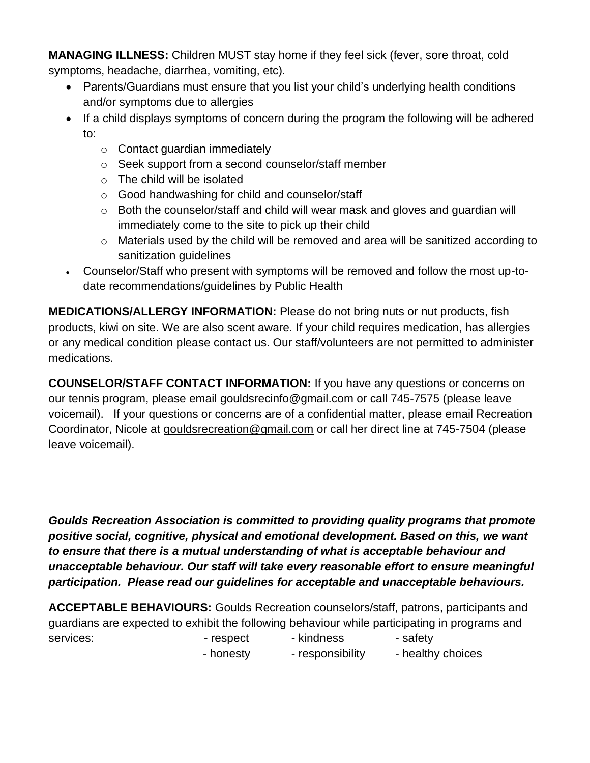**MANAGING ILLNESS:** Children MUST stay home if they feel sick (fever, sore throat, cold symptoms, headache, diarrhea, vomiting, etc).

- Parents/Guardians must ensure that you list your child's underlying health conditions and/or symptoms due to allergies
- If a child displays symptoms of concern during the program the following will be adhered to:
	- o Contact guardian immediately
	- o Seek support from a second counselor/staff member
	- o The child will be isolated
	- o Good handwashing for child and counselor/staff
	- $\circ$  Both the counselor/staff and child will wear mask and gloves and guardian will immediately come to the site to pick up their child
	- o Materials used by the child will be removed and area will be sanitized according to sanitization guidelines
- Counselor/Staff who present with symptoms will be removed and follow the most up-todate recommendations/guidelines by Public Health

**MEDICATIONS/ALLERGY INFORMATION:** Please do not bring nuts or nut products, fish products, kiwi on site. We are also scent aware. If your child requires medication, has allergies or any medical condition please contact us. Our staff/volunteers are not permitted to administer medications.

**COUNSELOR/STAFF CONTACT INFORMATION:** If you have any questions or concerns on our tennis program, please email [gouldsrecinfo@gmail.com](mailto:gouldsrecinfo@gmail.com) or call 745-7575 (please leave voicemail). If your questions or concerns are of a confidential matter, please email Recreation Coordinator, Nicole at [gouldsrecreation@gmail.com](mailto:gouldsrecreation@gmail.com) or call her direct line at 745-7504 (please leave voicemail).

*Goulds Recreation Association is committed to providing quality programs that promote positive social, cognitive, physical and emotional development. Based on this, we want to ensure that there is a mutual understanding of what is acceptable behaviour and unacceptable behaviour. Our staff will take every reasonable effort to ensure meaningful participation. Please read our guidelines for acceptable and unacceptable behaviours.*

**ACCEPTABLE BEHAVIOURS:** Goulds Recreation counselors/staff, patrons, participants and guardians are expected to exhibit the following behaviour while participating in programs and services: The services: The services: The services: The safety services: The safety

- honesty - responsibility - healthy choices